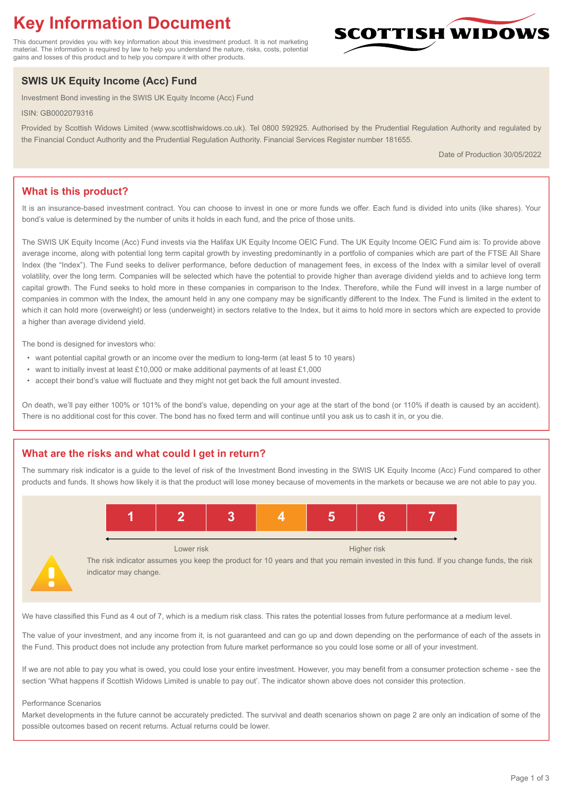# **Key Information Document**

This document provides you with key information about this investment product. It is not marketing material. The information is required by law to help you understand the nature, risks, costs, potential gains and losses of this product and to help you compare it with other products.

## **SWIS UK Equity Income (Acc) Fund**

Investment Bond investing in the SWIS UK Equity Income (Acc) Fund

ISIN: GB0002079316

Provided by Scottish Widows Limited (www.scottishwidows.co.uk). Tel 0800 592925. Authorised by the Prudential Regulation Authority and regulated by the Financial Conduct Authority and the Prudential Regulation Authority. Financial Services Register number 181655.

Date of Production 30/05/2022

**SCOTTISH WIDOW** 

### **What is this product?**

It is an insurance-based investment contract. You can choose to invest in one or more funds we offer. Each fund is divided into units (like shares). Your bond's value is determined by the number of units it holds in each fund, and the price of those units.

The SWIS UK Equity Income (Acc) Fund invests via the Halifax UK Equity Income OEIC Fund. The UK Equity Income OEIC Fund aim is: To provide above average income, along with potential long term capital growth by investing predominantly in a portfolio of companies which are part of the FTSE All Share Index (the "Index"). The Fund seeks to deliver performance, before deduction of management fees, in excess of the Index with a similar level of overall volatility, over the long term. Companies will be selected which have the potential to provide higher than average dividend yields and to achieve long term capital growth. The Fund seeks to hold more in these companies in comparison to the Index. Therefore, while the Fund will invest in a large number of companies in common with the Index, the amount held in any one company may be significantly different to the Index. The Fund is limited in the extent to which it can hold more (overweight) or less (underweight) in sectors relative to the Index, but it aims to hold more in sectors which are expected to provide a higher than average dividend yield.

The bond is designed for investors who:

- want potential capital growth or an income over the medium to long-term (at least 5 to 10 years)
- want to initially invest at least £10,000 or make additional payments of at least £1,000
- accept their bond's value will fluctuate and they might not get back the full amount invested.

On death, we'll pay either 100% or 101% of the bond's value, depending on your age at the start of the bond (or 110% if death is caused by an accident). There is no additional cost for this cover. The bond has no fixed term and will continue until you ask us to cash it in, or you die.

#### **What are the risks and what could I get in return?**

The summary risk indicator is a guide to the level of risk of the Investment Bond investing in the SWIS UK Equity Income (Acc) Fund compared to other products and funds. It shows how likely it is that the product will lose money because of movements in the markets or because we are not able to pay you.



The risk indicator assumes you keep the product for 10 years and that you remain invested in this fund. If you change funds, the risk indicator may change.

We have classified this Fund as 4 out of 7, which is a medium risk class. This rates the potential losses from future performance at a medium level.

The value of your investment, and any income from it, is not guaranteed and can go up and down depending on the performance of each of the assets in the Fund. This product does not include any protection from future market performance so you could lose some or all of your investment.

If we are not able to pay you what is owed, you could lose your entire investment. However, you may benefit from a consumer protection scheme - see the section 'What happens if Scottish Widows Limited is unable to pay out'. The indicator shown above does not consider this protection.

#### Performance Scenarios

Market developments in the future cannot be accurately predicted. The survival and death scenarios shown on page 2 are only an indication of some of the possible outcomes based on recent returns. Actual returns could be lower.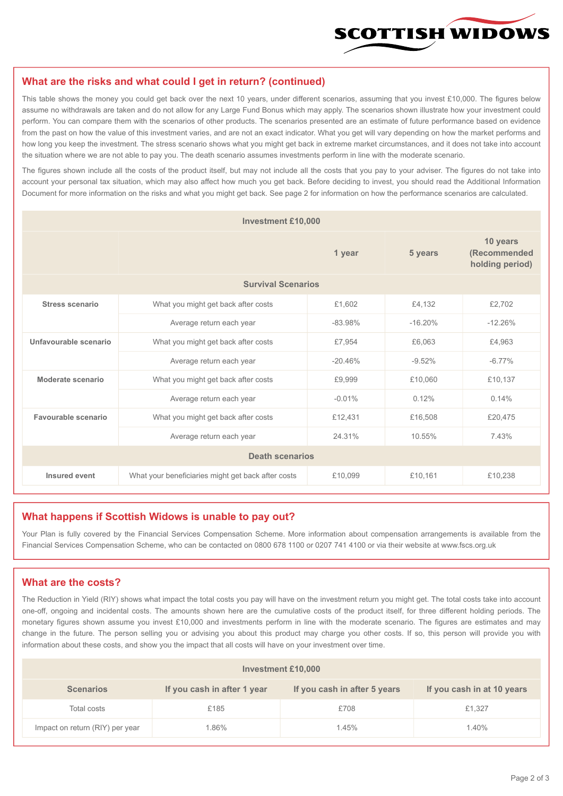

#### **What are the risks and what could I get in return? (continued)**

This table shows the money you could get back over the next 10 years, under different scenarios, assuming that you invest £10,000. The figures below assume no withdrawals are taken and do not allow for any Large Fund Bonus which may apply. The scenarios shown illustrate how your investment could perform. You can compare them with the scenarios of other products. The scenarios presented are an estimate of future performance based on evidence from the past on how the value of this investment varies, and are not an exact indicator. What you get will vary depending on how the market performs and how long you keep the investment. The stress scenario shows what you might get back in extreme market circumstances, and it does not take into account the situation where we are not able to pay you. The death scenario assumes investments perform in line with the moderate scenario.

The figures shown include all the costs of the product itself, but may not include all the costs that you pay to your adviser. The figures do not take into account your personal tax situation, which may also affect how much you get back. Before deciding to invest, you should read the Additional Information Document for more information on the risks and what you might get back. See page 2 for information on how the performance scenarios are calculated.

| <b>Investment £10,000</b> |                                                    |           |                                             |           |  |  |
|---------------------------|----------------------------------------------------|-----------|---------------------------------------------|-----------|--|--|
|                           |                                                    | 5 years   | 10 years<br>(Recommended<br>holding period) |           |  |  |
| <b>Survival Scenarios</b> |                                                    |           |                                             |           |  |  |
| <b>Stress scenario</b>    | £1,602<br>What you might get back after costs      |           | £4,132                                      | £2,702    |  |  |
|                           | $-83.98%$<br>Average return each year              |           | $-16.20%$                                   | $-12.26%$ |  |  |
| Unfavourable scenario     | What you might get back after costs<br>£7,954      |           | £6,063                                      | £4,963    |  |  |
|                           | Average return each year                           | $-20.46%$ | $-9.52%$                                    | $-6.77%$  |  |  |
| Moderate scenario         | What you might get back after costs                | £9,999    | £10,060                                     | £10,137   |  |  |
|                           | Average return each year                           | $-0.01%$  | 0.12%                                       | 0.14%     |  |  |
| Favourable scenario       | What you might get back after costs                | £12,431   | £16,508                                     | £20,475   |  |  |
| Average return each year  |                                                    | 24.31%    | 10.55%                                      | 7.43%     |  |  |
| <b>Death scenarios</b>    |                                                    |           |                                             |           |  |  |
| Insured event             | What your beneficiaries might get back after costs | £10,099   | £10,161                                     | £10,238   |  |  |

#### **What happens if Scottish Widows is unable to pay out?**

Your Plan is fully covered by the Financial Services Compensation Scheme. More information about compensation arrangements is available from the Financial Services Compensation Scheme, who can be contacted on 0800 678 1100 or 0207 741 4100 or via their website at www.fscs.org.uk

#### **What are the costs?**

The Reduction in Yield (RIY) shows what impact the total costs you pay will have on the investment return you might get. The total costs take into account one-off, ongoing and incidental costs. The amounts shown here are the cumulative costs of the product itself, for three different holding periods. The monetary figures shown assume you invest £10,000 and investments perform in line with the moderate scenario. The figures are estimates and may change in the future. The person selling you or advising you about this product may charge you other costs. If so, this person will provide you with information about these costs, and show you the impact that all costs will have on your investment over time.

| Investment £10,000              |                             |                              |                            |  |  |  |
|---------------------------------|-----------------------------|------------------------------|----------------------------|--|--|--|
| <b>Scenarios</b>                | If you cash in after 1 year | If you cash in after 5 years | If you cash in at 10 years |  |  |  |
| Total costs                     | £185                        | £708                         | £1,327                     |  |  |  |
| Impact on return (RIY) per year | .86%                        | 1.45%                        | 1.40%                      |  |  |  |